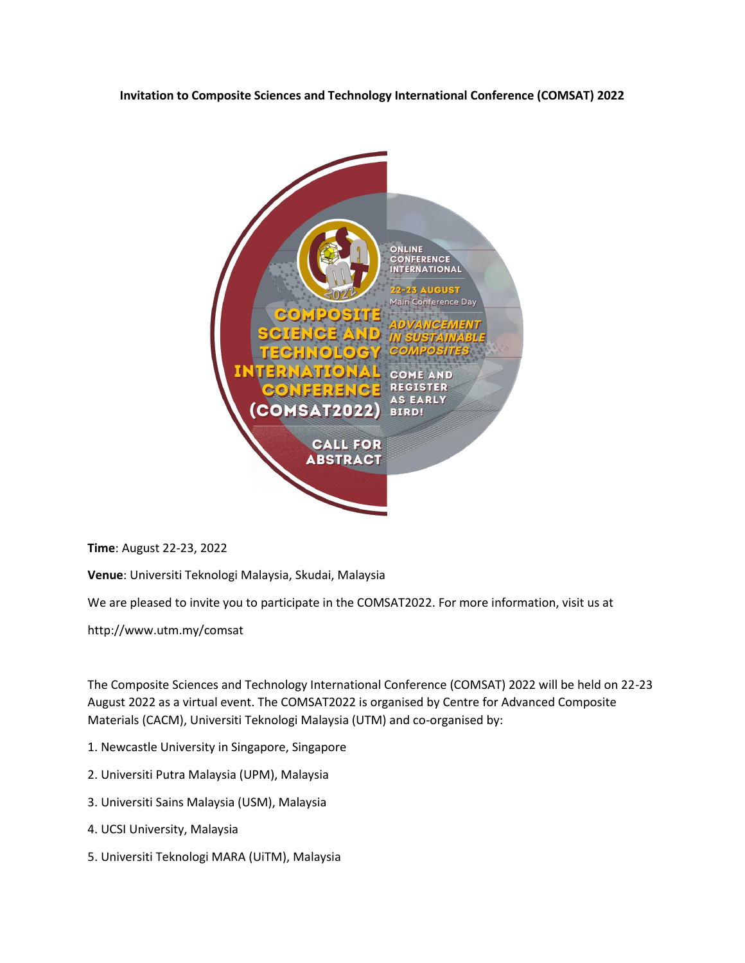**Invitation to Composite Sciences and Technology International Conference (COMSAT) 2022**



**Time**: August 22-23, 2022

**Venue**: Universiti Teknologi Malaysia, Skudai, Malaysia

We are pleased to invite you to participate in the COMSAT2022. For more information, visit us at

http://www.utm.my/comsat

The Composite Sciences and Technology International Conference (COMSAT) 2022 will be held on 22-23 August 2022 as a virtual event. The COMSAT2022 is organised by Centre for Advanced Composite Materials (CACM), Universiti Teknologi Malaysia (UTM) and co-organised by:

- 1. Newcastle University in Singapore, Singapore
- 2. Universiti Putra Malaysia (UPM), Malaysia
- 3. Universiti Sains Malaysia (USM), Malaysia
- 4. UCSI University, Malaysia
- 5. Universiti Teknologi MARA (UiTM), Malaysia